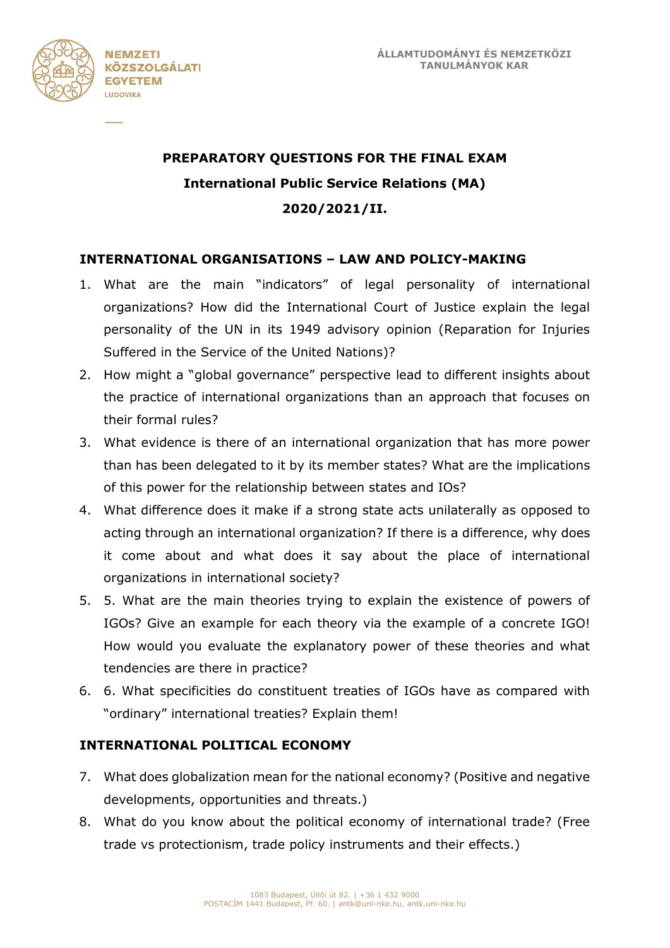

# **PREPARATORY QUESTIONS FOR THE FINAL EXAM International Public Service Relations (MA) 2020/2021/II.**

### **INTERNATIONAL ORGANISATIONS – LAW AND POLICY-MAKING**

- 1. What are the main "indicators" of legal personality of international organizations? How did the International Court of Justice explain the legal personality of the UN in its 1949 advisory opinion (Reparation for Injuries Suffered in the Service of the United Nations)?
- 2. How might a "global governance" perspective lead to different insights about the practice of international organizations than an approach that focuses on their formal rules?
- 3. What evidence is there of an international organization that has more power than has been delegated to it by its member states? What are the implications of this power for the relationship between states and IOs?
- 4. What difference does it make if a strong state acts unilaterally as opposed to acting through an international organization? If there is a difference, why does it come about and what does it say about the place of international organizations in international society?
- 5. 5. What are the main theories trying to explain the existence of powers of IGOs? Give an example for each theory via the example of a concrete IGO! How would you evaluate the explanatory power of these theories and what tendencies are there in practice?
- 6. 6. What specificities do constituent treaties of IGOs have as compared with "ordinary" international treaties? Explain them!

#### **INTERNATIONAL POLITICAL ECONOMY**

- 7. What does globalization mean for the national economy? (Positive and negative developments, opportunities and threats.)
- 8. What do you know about the political economy of international trade? (Free trade vs protectionism, trade policy instruments and their effects.)